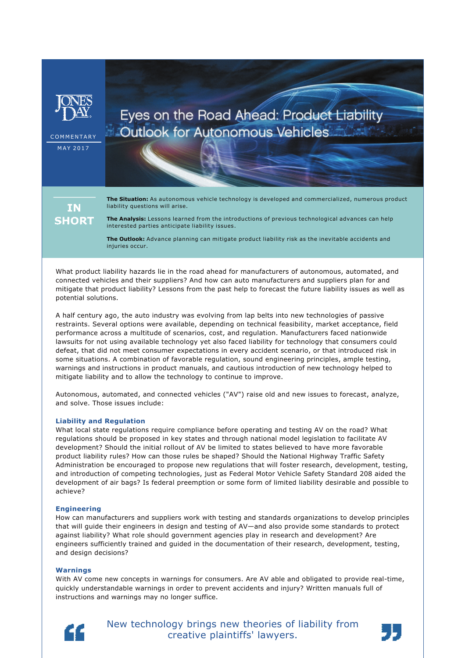

**COMMENTARY** M A Y 2017

# Eyes on the Road Ahead: Product Liability **Outlook for Autonomous Vehicles**

ΙN **SHORT** 

**The Situation:** As autonomous vehicle technology is developed and commercialized, numerous product liability questions will arise.

**The Analysis:** Lessons learned from the introductions of previous technological advances can help interested parties anticipate liability issues.

**The Outlook:** Advance planning can mitigate product liability risk as the inevitable accidents and injuries occur.

What product liability hazards lie in the road ahead for manufacturers of autonomous, automated, and connected vehicles and their suppliers? And how can auto manufacturers and suppliers plan for and mitigate that product liability? Lessons from the past help to forecast the future liability issues as well as potential solutions.

A half century ago, the auto industry was evolving from lap belts into new technologies of passive restraints. Several options were available, depending on technical feasibility, market acceptance, field performance across a multitude of scenarios, cost, and regulation. Manufacturers faced nationwide lawsuits for not using available technology yet also faced liability for technology that consumers could defeat, that did not meet consumer expectations in every accident scenario, or that introduced risk in some situations. A combination of favorable regulation, sound engineering principles, ample testing, warnings and instructions in product manuals, and cautious introduction of new technology helped to mitigate liability and to allow the technology to continue to improve.

Autonomous, automated, and connected vehicles ("AV") raise old and new issues to forecast, analyze, and solve. Those issues include:

## **Liability and Regulation**

What local state regulations require compliance before operating and testing AV on the road? What regulations should be proposed in key states and through national model legislation to facilitate AV development? Should the initial rollout of AV be limited to states believed to have more favorable product liability rules? How can those rules be shaped? Should the National Highway Traffic Safety Administration be encouraged to propose new regulations that will foster research, development, testing, and introduction of competing technologies, just as Federal Motor Vehicle Safety Standard 208 aided the development of air bags? Is federal preemption or some form of limited liability desirable and possible to achieve?

### **Engineering**

How can manufacturers and suppliers work with testing and standards organizations to develop principles that will guide their engineers in design and testing of AV—and also provide some standards to protect against liability? What role should government agencies play in research and development? Are engineers sufficiently trained and guided in the documentation of their research, development, testing, and design decisions?

### **Warnings**

With AV come new concepts in warnings for consumers. Are AV able and obligated to provide real-time, quickly understandable warnings in order to prevent accidents and injury? Written manuals full of instructions and warnings may no longer suffice.



New technology brings new theories of liability from creative plaintiffs' lawyers.